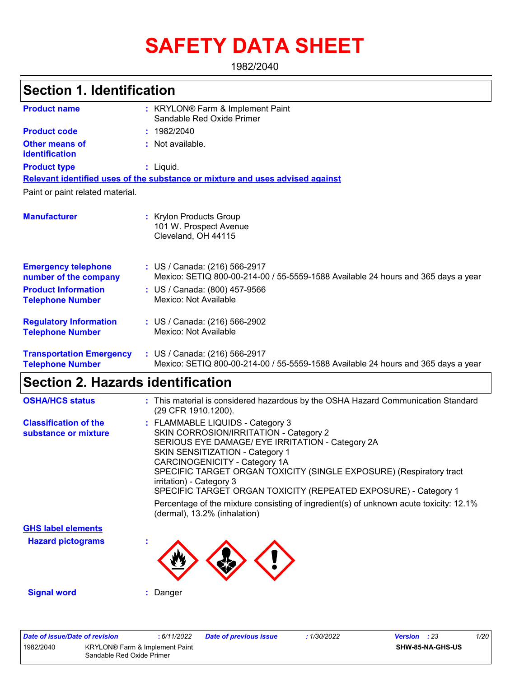# **SAFETY DATA SHEET**

1982/2040

#### KRYLON® Farm & Implement Paint **:** Sandable Red Oxide Primer **:** Not available. Liquid. **:** US / Canada: (216) 566-2917 **:** Mexico: SETIQ 800-00-214-00 / 55-5559-1588 Available 24 hours and 365 days a year **Product name Other means of identification Product type Emergency telephone number of the company Section 1. Identification Manufacturer :** Krylon Products Group 101 W. Prospect Avenue Cleveland, OH 44115 **Relevant identified uses of the substance or mixture and uses advised against** Paint or paint related material. **Product code :** 1982/2040 **Product Information Telephone Number :** US / Canada: (800) 457-9566 Mexico: Not Available **Regulatory Information Telephone Number :** US / Canada: (216) 566-2902 Mexico: Not Available **Transportation Emergency :** US / Canada: (216) 566-2917 **Telephone Number** Mexico: SETIQ 800-00-214-00 / 55-5559-1588 Available 24 hours and 365 days a year

### **Section 2. Hazards identification**

| <b>OSHA/HCS status</b>                               | : This material is considered hazardous by the OSHA Hazard Communication Standard<br>(29 CFR 1910.1200).                                                                                                                                                                                                                                                                                                                                                                                                  |
|------------------------------------------------------|-----------------------------------------------------------------------------------------------------------------------------------------------------------------------------------------------------------------------------------------------------------------------------------------------------------------------------------------------------------------------------------------------------------------------------------------------------------------------------------------------------------|
| <b>Classification of the</b><br>substance or mixture | : FLAMMABLE LIQUIDS - Category 3<br>SKIN CORROSION/IRRITATION - Category 2<br>SERIOUS EYE DAMAGE/ EYE IRRITATION - Category 2A<br><b>SKIN SENSITIZATION - Category 1</b><br>CARCINOGENICITY - Category 1A<br>SPECIFIC TARGET ORGAN TOXICITY (SINGLE EXPOSURE) (Respiratory tract<br>irritation) - Category 3<br>SPECIFIC TARGET ORGAN TOXICITY (REPEATED EXPOSURE) - Category 1<br>Percentage of the mixture consisting of ingredient(s) of unknown acute toxicity: 12.1%<br>(dermal), 13.2% (inhalation) |
| <b>GHS label elements</b>                            |                                                                                                                                                                                                                                                                                                                                                                                                                                                                                                           |
| <b>Hazard pictograms</b>                             |                                                                                                                                                                                                                                                                                                                                                                                                                                                                                                           |
| <b>Signal word</b>                                   | : Danger                                                                                                                                                                                                                                                                                                                                                                                                                                                                                                  |

| Date of issue/Date of revision |                                                             | : 6/11/2022 | Date of previous issue | : 1/30/2022 | <b>Version</b> : 23 |                  | 1/20 |
|--------------------------------|-------------------------------------------------------------|-------------|------------------------|-------------|---------------------|------------------|------|
| 1982/2040                      | KRYLON® Farm & Implement Paint<br>Sandable Red Oxide Primer |             |                        |             |                     | SHW-85-NA-GHS-US |      |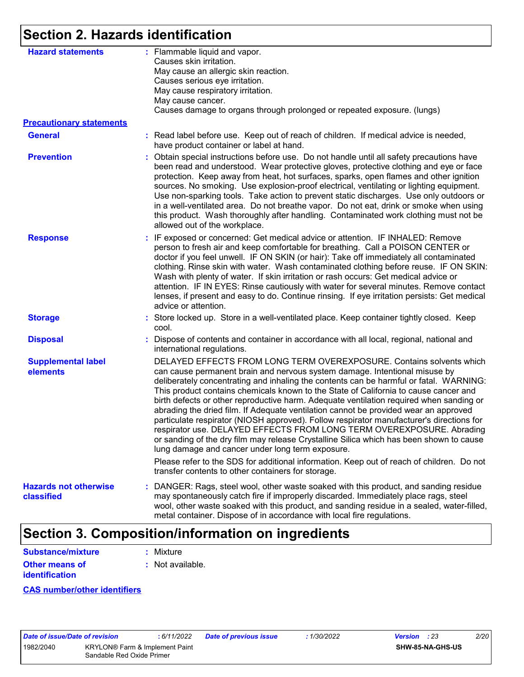# **Section 2. Hazards identification**

| <b>Hazard statements</b>              | : Flammable liquid and vapor.<br>Causes skin irritation.<br>May cause an allergic skin reaction.<br>Causes serious eye irritation.<br>May cause respiratory irritation.<br>May cause cancer.<br>Causes damage to organs through prolonged or repeated exposure. (lungs)                                                                                                                                                                                                                                                                                                                                                                                                                                                                                                                                                                                                                                                                                                                        |
|---------------------------------------|------------------------------------------------------------------------------------------------------------------------------------------------------------------------------------------------------------------------------------------------------------------------------------------------------------------------------------------------------------------------------------------------------------------------------------------------------------------------------------------------------------------------------------------------------------------------------------------------------------------------------------------------------------------------------------------------------------------------------------------------------------------------------------------------------------------------------------------------------------------------------------------------------------------------------------------------------------------------------------------------|
| <b>Precautionary statements</b>       |                                                                                                                                                                                                                                                                                                                                                                                                                                                                                                                                                                                                                                                                                                                                                                                                                                                                                                                                                                                                |
| <b>General</b>                        | : Read label before use. Keep out of reach of children. If medical advice is needed,<br>have product container or label at hand.                                                                                                                                                                                                                                                                                                                                                                                                                                                                                                                                                                                                                                                                                                                                                                                                                                                               |
| <b>Prevention</b>                     | : Obtain special instructions before use. Do not handle until all safety precautions have<br>been read and understood. Wear protective gloves, protective clothing and eye or face<br>protection. Keep away from heat, hot surfaces, sparks, open flames and other ignition<br>sources. No smoking. Use explosion-proof electrical, ventilating or lighting equipment.<br>Use non-sparking tools. Take action to prevent static discharges. Use only outdoors or<br>in a well-ventilated area. Do not breathe vapor. Do not eat, drink or smoke when using<br>this product. Wash thoroughly after handling. Contaminated work clothing must not be<br>allowed out of the workplace.                                                                                                                                                                                                                                                                                                            |
| <b>Response</b>                       | : IF exposed or concerned: Get medical advice or attention. IF INHALED: Remove<br>person to fresh air and keep comfortable for breathing. Call a POISON CENTER or<br>doctor if you feel unwell. IF ON SKIN (or hair): Take off immediately all contaminated<br>clothing. Rinse skin with water. Wash contaminated clothing before reuse. IF ON SKIN:<br>Wash with plenty of water. If skin irritation or rash occurs: Get medical advice or<br>attention. IF IN EYES: Rinse cautiously with water for several minutes. Remove contact<br>lenses, if present and easy to do. Continue rinsing. If eye irritation persists: Get medical<br>advice or attention.                                                                                                                                                                                                                                                                                                                                  |
| <b>Storage</b>                        | : Store locked up. Store in a well-ventilated place. Keep container tightly closed. Keep<br>cool.                                                                                                                                                                                                                                                                                                                                                                                                                                                                                                                                                                                                                                                                                                                                                                                                                                                                                              |
| <b>Disposal</b>                       | : Dispose of contents and container in accordance with all local, regional, national and<br>international regulations.                                                                                                                                                                                                                                                                                                                                                                                                                                                                                                                                                                                                                                                                                                                                                                                                                                                                         |
| <b>Supplemental label</b><br>elements | DELAYED EFFECTS FROM LONG TERM OVEREXPOSURE. Contains solvents which<br>can cause permanent brain and nervous system damage. Intentional misuse by<br>deliberately concentrating and inhaling the contents can be harmful or fatal. WARNING:<br>This product contains chemicals known to the State of California to cause cancer and<br>birth defects or other reproductive harm. Adequate ventilation required when sanding or<br>abrading the dried film. If Adequate ventilation cannot be provided wear an approved<br>particulate respirator (NIOSH approved). Follow respirator manufacturer's directions for<br>respirator use. DELAYED EFFECTS FROM LONG TERM OVEREXPOSURE. Abrading<br>or sanding of the dry film may release Crystalline Silica which has been shown to cause<br>lung damage and cancer under long term exposure.<br>Please refer to the SDS for additional information. Keep out of reach of children. Do not<br>transfer contents to other containers for storage. |
| <b>Hazards not otherwise</b>          | : DANGER: Rags, steel wool, other waste soaked with this product, and sanding residue                                                                                                                                                                                                                                                                                                                                                                                                                                                                                                                                                                                                                                                                                                                                                                                                                                                                                                          |
| classified                            | may spontaneously catch fire if improperly discarded. Immediately place rags, steel<br>wool, other waste soaked with this product, and sanding residue in a sealed, water-filled,<br>metal container. Dispose of in accordance with local fire regulations.                                                                                                                                                                                                                                                                                                                                                                                                                                                                                                                                                                                                                                                                                                                                    |

# **Section 3. Composition/information on ingredients**

| Substance/mixture                              | : Mixture        |
|------------------------------------------------|------------------|
| <b>Other means of</b><br><i>identification</i> | : Not available. |

**CAS number/other identifiers**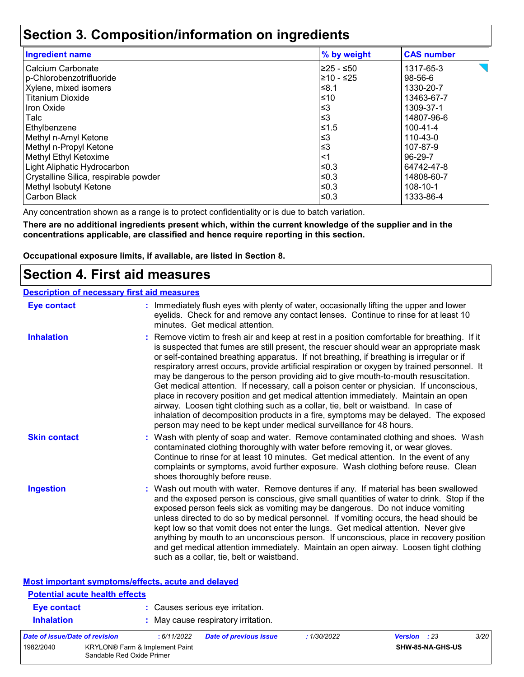### **Section 3. Composition/information on ingredients**

| <b>Ingredient name</b>                | % by weight | <b>CAS number</b> |
|---------------------------------------|-------------|-------------------|
| Calcium Carbonate                     | 225 - ≤50   | 1317-65-3         |
| p-Chlorobenzotrifluoride              | 210 - ≤25   | 98-56-6           |
| Xylene, mixed isomers                 | ≰8.1        | 1330-20-7         |
| <b>Titanium Dioxide</b>               | ≤10         | 13463-67-7        |
| Iron Oxide                            | $\leq$ 3    | 1309-37-1         |
| Talc                                  | $\leq$ 3    | 14807-96-6        |
| Ethylbenzene                          | $≤1.5$      | 100-41-4          |
| Methyl n-Amyl Ketone                  | $\leq$ 3    | 110-43-0          |
| Methyl n-Propyl Ketone                | $\leq$ 3    | 107-87-9          |
| Methyl Ethyl Ketoxime                 | $<$ 1       | 96-29-7           |
| Light Aliphatic Hydrocarbon           | ≤0.3        | 64742-47-8        |
| Crystalline Silica, respirable powder | ≤0.3        | 14808-60-7        |
| Methyl Isobutyl Ketone                | l≤0.3       | 108-10-1          |
| Carbon Black                          | ≤0.3        | 1333-86-4         |

Any concentration shown as a range is to protect confidentiality or is due to batch variation.

**There are no additional ingredients present which, within the current knowledge of the supplier and in the concentrations applicable, are classified and hence require reporting in this section.**

**Occupational exposure limits, if available, are listed in Section 8.**

### **Section 4. First aid measures**

| <b>Description of necessary first aid measures</b> |                                                                                                                                                                                                                                                                                                                                                                                                                                                                                                                                                                                                                                                                                                                                                                                                                                                                                                                |
|----------------------------------------------------|----------------------------------------------------------------------------------------------------------------------------------------------------------------------------------------------------------------------------------------------------------------------------------------------------------------------------------------------------------------------------------------------------------------------------------------------------------------------------------------------------------------------------------------------------------------------------------------------------------------------------------------------------------------------------------------------------------------------------------------------------------------------------------------------------------------------------------------------------------------------------------------------------------------|
| <b>Eye contact</b>                                 | : Immediately flush eyes with plenty of water, occasionally lifting the upper and lower<br>eyelids. Check for and remove any contact lenses. Continue to rinse for at least 10<br>minutes. Get medical attention.                                                                                                                                                                                                                                                                                                                                                                                                                                                                                                                                                                                                                                                                                              |
| <b>Inhalation</b>                                  | : Remove victim to fresh air and keep at rest in a position comfortable for breathing. If it<br>is suspected that fumes are still present, the rescuer should wear an appropriate mask<br>or self-contained breathing apparatus. If not breathing, if breathing is irregular or if<br>respiratory arrest occurs, provide artificial respiration or oxygen by trained personnel. It<br>may be dangerous to the person providing aid to give mouth-to-mouth resuscitation.<br>Get medical attention. If necessary, call a poison center or physician. If unconscious,<br>place in recovery position and get medical attention immediately. Maintain an open<br>airway. Loosen tight clothing such as a collar, tie, belt or waistband. In case of<br>inhalation of decomposition products in a fire, symptoms may be delayed. The exposed<br>person may need to be kept under medical surveillance for 48 hours. |
| <b>Skin contact</b>                                | : Wash with plenty of soap and water. Remove contaminated clothing and shoes. Wash<br>contaminated clothing thoroughly with water before removing it, or wear gloves.<br>Continue to rinse for at least 10 minutes. Get medical attention. In the event of any<br>complaints or symptoms, avoid further exposure. Wash clothing before reuse. Clean<br>shoes thoroughly before reuse.                                                                                                                                                                                                                                                                                                                                                                                                                                                                                                                          |
| <b>Ingestion</b>                                   | : Wash out mouth with water. Remove dentures if any. If material has been swallowed<br>and the exposed person is conscious, give small quantities of water to drink. Stop if the<br>exposed person feels sick as vomiting may be dangerous. Do not induce vomiting<br>unless directed to do so by medical personnel. If vomiting occurs, the head should be<br>kept low so that vomit does not enter the lungs. Get medical attention. Never give<br>anything by mouth to an unconscious person. If unconscious, place in recovery position<br>and get medical attention immediately. Maintain an open airway. Loosen tight clothing<br>such as a collar, tie, belt or waistband.                                                                                                                                                                                                                              |

| <b>Most important symptoms/effects, acute and delayed</b> |                                                                         |             |                                                                         |             |                     |                  |      |
|-----------------------------------------------------------|-------------------------------------------------------------------------|-------------|-------------------------------------------------------------------------|-------------|---------------------|------------------|------|
| <b>Potential acute health effects</b>                     |                                                                         |             |                                                                         |             |                     |                  |      |
| <b>Eye contact</b><br><b>Inhalation</b>                   |                                                                         |             | : Causes serious eye irritation.<br>: May cause respiratory irritation. |             |                     |                  |      |
| Date of issue/Date of revision                            |                                                                         | : 6/11/2022 | <b>Date of previous issue</b>                                           | : 1/30/2022 | <b>Version</b> : 23 |                  | 3/20 |
| 1982/2040                                                 | KRYLON <sup>®</sup> Farm & Implement Paint<br>Sandable Red Oxide Primer |             |                                                                         |             |                     | SHW-85-NA-GHS-US |      |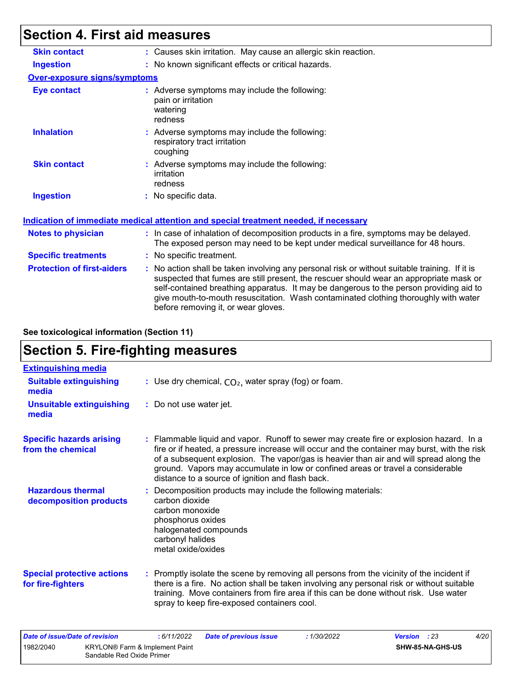### **Section 4. First aid measures**

| : Causes skin irritation. May cause an allergic skin reaction.                                                                                                                                                                                                                                                                                                           |
|--------------------------------------------------------------------------------------------------------------------------------------------------------------------------------------------------------------------------------------------------------------------------------------------------------------------------------------------------------------------------|
| : No known significant effects or critical hazards.                                                                                                                                                                                                                                                                                                                      |
| <b>Over-exposure signs/symptoms</b>                                                                                                                                                                                                                                                                                                                                      |
| : Adverse symptoms may include the following:<br>pain or irritation<br>watering<br>redness                                                                                                                                                                                                                                                                               |
| : Adverse symptoms may include the following:<br>respiratory tract irritation<br>coughing                                                                                                                                                                                                                                                                                |
| : Adverse symptoms may include the following:<br>irritation<br>redness                                                                                                                                                                                                                                                                                                   |
| : No specific data.                                                                                                                                                                                                                                                                                                                                                      |
| <u>Indication of immediate medical attention and special treatment needed, if necessary</u>                                                                                                                                                                                                                                                                              |
| : In case of inhalation of decomposition products in a fire, symptoms may be delayed.<br>The exposed person may need to be kept under medical surveillance for 48 hours.                                                                                                                                                                                                 |
| : No specific treatment.                                                                                                                                                                                                                                                                                                                                                 |
| : No action shall be taken involving any personal risk or without suitable training. If it is<br>suspected that fumes are still present, the rescuer should wear an appropriate mask or<br>self-contained breathing apparatus. It may be dangerous to the person providing aid to<br>give mouth-to-mouth resuscitation. Wash contaminated clothing thoroughly with water |
|                                                                                                                                                                                                                                                                                                                                                                          |

**See toxicological information (Section 11)**

# **Section 5. Fire-fighting measures**

| <b>Extinguishing media</b>                             |                                                                                                                                                                                                                                                                                                                                                                                                                          |
|--------------------------------------------------------|--------------------------------------------------------------------------------------------------------------------------------------------------------------------------------------------------------------------------------------------------------------------------------------------------------------------------------------------------------------------------------------------------------------------------|
| <b>Suitable extinguishing</b><br>media                 | : Use dry chemical, $CO2$ , water spray (fog) or foam.                                                                                                                                                                                                                                                                                                                                                                   |
| <b>Unsuitable extinguishing</b><br>media               | : Do not use water jet.                                                                                                                                                                                                                                                                                                                                                                                                  |
| <b>Specific hazards arising</b><br>from the chemical   | : Flammable liquid and vapor. Runoff to sewer may create fire or explosion hazard. In a<br>fire or if heated, a pressure increase will occur and the container may burst, with the risk<br>of a subsequent explosion. The vapor/gas is heavier than air and will spread along the<br>ground. Vapors may accumulate in low or confined areas or travel a considerable<br>distance to a source of ignition and flash back. |
| <b>Hazardous thermal</b><br>decomposition products     | : Decomposition products may include the following materials:<br>carbon dioxide<br>carbon monoxide<br>phosphorus oxides<br>halogenated compounds<br>carbonyl halides<br>metal oxide/oxides                                                                                                                                                                                                                               |
| <b>Special protective actions</b><br>for fire-fighters | : Promptly isolate the scene by removing all persons from the vicinity of the incident if<br>there is a fire. No action shall be taken involving any personal risk or without suitable<br>training. Move containers from fire area if this can be done without risk. Use water<br>spray to keep fire-exposed containers cool.                                                                                            |

| Date of issue/Date of revision |                                                             | : 6/11/2022 | Date of previous issue | 1/30/2022 | <b>Version</b> : 23     | 4/20 |
|--------------------------------|-------------------------------------------------------------|-------------|------------------------|-----------|-------------------------|------|
| 1982/2040                      | KRYLON® Farm & Implement Paint<br>Sandable Red Oxide Primer |             |                        |           | <b>SHW-85-NA-GHS-US</b> |      |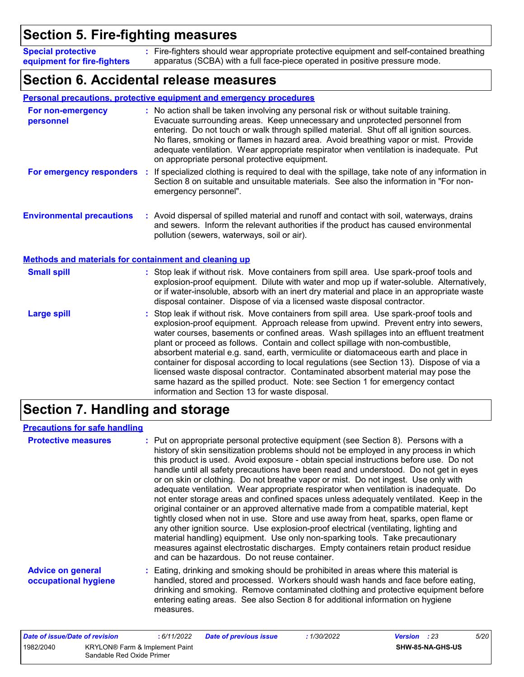### **Section 5. Fire-fighting measures**

Fire-fighters should wear appropriate protective equipment and self-contained breathing **:** apparatus (SCBA) with a full face-piece operated in positive pressure mode. **Special protective equipment for fire-fighters**

### **Section 6. Accidental release measures**

|                                                       | Personal precautions, protective equipment and emergency procedures                                                                                                                                                                                                                                                                                                                                                                                                                                                                                                                                                                                                                                                                                                  |
|-------------------------------------------------------|----------------------------------------------------------------------------------------------------------------------------------------------------------------------------------------------------------------------------------------------------------------------------------------------------------------------------------------------------------------------------------------------------------------------------------------------------------------------------------------------------------------------------------------------------------------------------------------------------------------------------------------------------------------------------------------------------------------------------------------------------------------------|
| For non-emergency<br>personnel                        | : No action shall be taken involving any personal risk or without suitable training.<br>Evacuate surrounding areas. Keep unnecessary and unprotected personnel from<br>entering. Do not touch or walk through spilled material. Shut off all ignition sources.<br>No flares, smoking or flames in hazard area. Avoid breathing vapor or mist. Provide<br>adequate ventilation. Wear appropriate respirator when ventilation is inadequate. Put<br>on appropriate personal protective equipment.                                                                                                                                                                                                                                                                      |
| For emergency responders                              | If specialized clothing is required to deal with the spillage, take note of any information in<br>÷<br>Section 8 on suitable and unsuitable materials. See also the information in "For non-<br>emergency personnel".                                                                                                                                                                                                                                                                                                                                                                                                                                                                                                                                                |
| <b>Environmental precautions</b>                      | : Avoid dispersal of spilled material and runoff and contact with soil, waterways, drains<br>and sewers. Inform the relevant authorities if the product has caused environmental<br>pollution (sewers, waterways, soil or air).                                                                                                                                                                                                                                                                                                                                                                                                                                                                                                                                      |
| Methods and materials for containment and cleaning up |                                                                                                                                                                                                                                                                                                                                                                                                                                                                                                                                                                                                                                                                                                                                                                      |
| <b>Small spill</b>                                    | : Stop leak if without risk. Move containers from spill area. Use spark-proof tools and<br>explosion-proof equipment. Dilute with water and mop up if water-soluble. Alternatively,<br>or if water-insoluble, absorb with an inert dry material and place in an appropriate waste<br>disposal container. Dispose of via a licensed waste disposal contractor.                                                                                                                                                                                                                                                                                                                                                                                                        |
| <b>Large spill</b>                                    | : Stop leak if without risk. Move containers from spill area. Use spark-proof tools and<br>explosion-proof equipment. Approach release from upwind. Prevent entry into sewers,<br>water courses, basements or confined areas. Wash spillages into an effluent treatment<br>plant or proceed as follows. Contain and collect spillage with non-combustible,<br>absorbent material e.g. sand, earth, vermiculite or diatomaceous earth and place in<br>container for disposal according to local regulations (see Section 13). Dispose of via a<br>licensed waste disposal contractor. Contaminated absorbent material may pose the<br>same hazard as the spilled product. Note: see Section 1 for emergency contact<br>information and Section 13 for waste disposal. |

# **Section 7. Handling and storage**

#### **Precautions for safe handling**

| <b>Protective measures</b>                       | : Put on appropriate personal protective equipment (see Section 8). Persons with a<br>history of skin sensitization problems should not be employed in any process in which<br>this product is used. Avoid exposure - obtain special instructions before use. Do not<br>handle until all safety precautions have been read and understood. Do not get in eyes<br>or on skin or clothing. Do not breathe vapor or mist. Do not ingest. Use only with<br>adequate ventilation. Wear appropriate respirator when ventilation is inadequate. Do<br>not enter storage areas and confined spaces unless adequately ventilated. Keep in the<br>original container or an approved alternative made from a compatible material, kept<br>tightly closed when not in use. Store and use away from heat, sparks, open flame or<br>any other ignition source. Use explosion-proof electrical (ventilating, lighting and<br>material handling) equipment. Use only non-sparking tools. Take precautionary<br>measures against electrostatic discharges. Empty containers retain product residue<br>and can be hazardous. Do not reuse container. |
|--------------------------------------------------|------------------------------------------------------------------------------------------------------------------------------------------------------------------------------------------------------------------------------------------------------------------------------------------------------------------------------------------------------------------------------------------------------------------------------------------------------------------------------------------------------------------------------------------------------------------------------------------------------------------------------------------------------------------------------------------------------------------------------------------------------------------------------------------------------------------------------------------------------------------------------------------------------------------------------------------------------------------------------------------------------------------------------------------------------------------------------------------------------------------------------------|
| <b>Advice on general</b><br>occupational hygiene | : Eating, drinking and smoking should be prohibited in areas where this material is<br>handled, stored and processed. Workers should wash hands and face before eating,<br>drinking and smoking. Remove contaminated clothing and protective equipment before<br>entering eating areas. See also Section 8 for additional information on hygiene<br>measures.                                                                                                                                                                                                                                                                                                                                                                                                                                                                                                                                                                                                                                                                                                                                                                      |

| Date of issue/Date of revision |                                                                    | : 6/11/2022 | <b>Date of previous issue</b> | : 1/30/2022 | <b>Version</b> : 23 |                         | 5/20 |
|--------------------------------|--------------------------------------------------------------------|-------------|-------------------------------|-------------|---------------------|-------------------------|------|
| 1982/2040                      | <b>KRYLON®</b> Farm & Implement Paint<br>Sandable Red Oxide Primer |             |                               |             |                     | <b>SHW-85-NA-GHS-US</b> |      |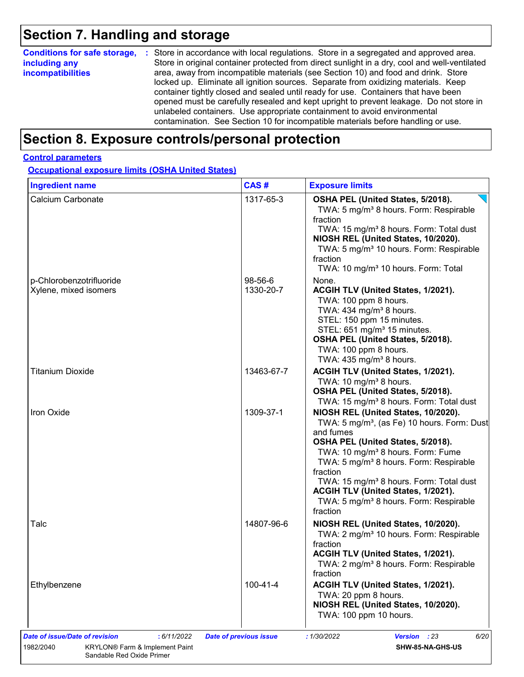# **Section 7. Handling and storage**

| <b>Conditions for safe storage,</b><br>including any<br>incompatibilities | : Store in accordance with local regulations. Store in a segregated and approved area.<br>Store in original container protected from direct sunlight in a dry, cool and well-ventilated<br>area, away from incompatible materials (see Section 10) and food and drink. Store<br>locked up. Eliminate all ignition sources. Separate from oxidizing materials. Keep<br>container tightly closed and sealed until ready for use. Containers that have been<br>opened must be carefully resealed and kept upright to prevent leakage. Do not store in<br>unlabeled containers. Use appropriate containment to avoid environmental<br>contamination. See Section 10 for incompatible materials before handling or use. |
|---------------------------------------------------------------------------|--------------------------------------------------------------------------------------------------------------------------------------------------------------------------------------------------------------------------------------------------------------------------------------------------------------------------------------------------------------------------------------------------------------------------------------------------------------------------------------------------------------------------------------------------------------------------------------------------------------------------------------------------------------------------------------------------------------------|
|---------------------------------------------------------------------------|--------------------------------------------------------------------------------------------------------------------------------------------------------------------------------------------------------------------------------------------------------------------------------------------------------------------------------------------------------------------------------------------------------------------------------------------------------------------------------------------------------------------------------------------------------------------------------------------------------------------------------------------------------------------------------------------------------------------|

# **Section 8. Exposure controls/personal protection**

#### **Control parameters**

**Occupational exposure limits (OSHA United States)**

| <b>Ingredient name</b>                            | CAS#                 | <b>Exposure limits</b>                                                                                                                                                                                                                                                                                                                                                                                                             |
|---------------------------------------------------|----------------------|------------------------------------------------------------------------------------------------------------------------------------------------------------------------------------------------------------------------------------------------------------------------------------------------------------------------------------------------------------------------------------------------------------------------------------|
| Calcium Carbonate                                 | 1317-65-3            | OSHA PEL (United States, 5/2018).<br>TWA: 5 mg/m <sup>3</sup> 8 hours. Form: Respirable<br>fraction<br>TWA: 15 mg/m <sup>3</sup> 8 hours. Form: Total dust<br>NIOSH REL (United States, 10/2020).<br>TWA: 5 mg/m <sup>3</sup> 10 hours. Form: Respirable<br>fraction<br>TWA: 10 mg/m <sup>3</sup> 10 hours. Form: Total                                                                                                            |
| p-Chlorobenzotrifluoride<br>Xylene, mixed isomers | 98-56-6<br>1330-20-7 | None.<br>ACGIH TLV (United States, 1/2021).                                                                                                                                                                                                                                                                                                                                                                                        |
|                                                   |                      | TWA: 100 ppm 8 hours.<br>TWA: 434 mg/m <sup>3</sup> 8 hours.<br>STEL: 150 ppm 15 minutes.<br>STEL: 651 mg/m <sup>3</sup> 15 minutes.<br>OSHA PEL (United States, 5/2018).<br>TWA: 100 ppm 8 hours.<br>TWA: $435 \text{ mg/m}^3$ 8 hours.                                                                                                                                                                                           |
| Titanium Dioxide                                  | 13463-67-7           | ACGIH TLV (United States, 1/2021).<br>TWA: 10 mg/m <sup>3</sup> 8 hours.<br>OSHA PEL (United States, 5/2018).<br>TWA: 15 mg/m <sup>3</sup> 8 hours. Form: Total dust                                                                                                                                                                                                                                                               |
| Iron Oxide                                        | 1309-37-1            | NIOSH REL (United States, 10/2020).<br>TWA: 5 mg/m <sup>3</sup> , (as Fe) 10 hours. Form: Dust<br>and fumes<br>OSHA PEL (United States, 5/2018).<br>TWA: 10 mg/m <sup>3</sup> 8 hours. Form: Fume<br>TWA: 5 mg/m <sup>3</sup> 8 hours. Form: Respirable<br>fraction<br>TWA: 15 mg/m <sup>3</sup> 8 hours. Form: Total dust<br>ACGIH TLV (United States, 1/2021).<br>TWA: 5 mg/m <sup>3</sup> 8 hours. Form: Respirable<br>fraction |
| Talc                                              | 14807-96-6           | NIOSH REL (United States, 10/2020).<br>TWA: 2 mg/m <sup>3</sup> 10 hours. Form: Respirable<br>fraction<br>ACGIH TLV (United States, 1/2021).<br>TWA: 2 mg/m <sup>3</sup> 8 hours. Form: Respirable<br>fraction                                                                                                                                                                                                                     |
| Ethylbenzene                                      | 100-41-4             | ACGIH TLV (United States, 1/2021).<br>TWA: 20 ppm 8 hours.<br>NIOSH REL (United States, 10/2020).<br>TWA: 100 ppm 10 hours.                                                                                                                                                                                                                                                                                                        |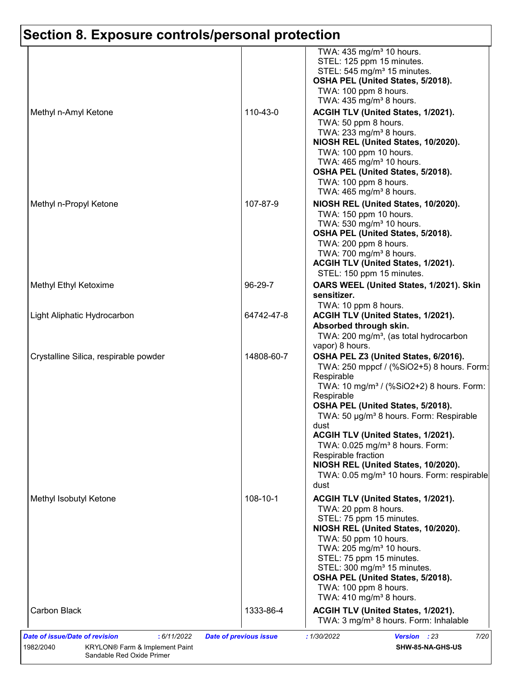|                                       |            | TWA: 435 mg/m <sup>3</sup> 10 hours.<br>STEL: 125 ppm 15 minutes.<br>STEL: 545 mg/m <sup>3</sup> 15 minutes.<br>OSHA PEL (United States, 5/2018).<br>TWA: 100 ppm 8 hours.<br>TWA: $435 \text{ mg/m}^3$ 8 hours.                                                                                                                                                                                                                                                                               |
|---------------------------------------|------------|------------------------------------------------------------------------------------------------------------------------------------------------------------------------------------------------------------------------------------------------------------------------------------------------------------------------------------------------------------------------------------------------------------------------------------------------------------------------------------------------|
| Methyl n-Amyl Ketone                  | 110-43-0   | ACGIH TLV (United States, 1/2021).<br>TWA: 50 ppm 8 hours.<br>TWA: 233 mg/m <sup>3</sup> 8 hours.<br>NIOSH REL (United States, 10/2020).<br>TWA: 100 ppm 10 hours.<br>TWA: 465 mg/m <sup>3</sup> 10 hours.<br>OSHA PEL (United States, 5/2018).<br>TWA: 100 ppm 8 hours.<br>TWA: 465 mg/m <sup>3</sup> 8 hours.                                                                                                                                                                                |
| Methyl n-Propyl Ketone                | 107-87-9   | NIOSH REL (United States, 10/2020).<br>TWA: 150 ppm 10 hours.<br>TWA: 530 mg/m <sup>3</sup> 10 hours.<br>OSHA PEL (United States, 5/2018).<br>TWA: 200 ppm 8 hours.<br>TWA: 700 mg/m <sup>3</sup> 8 hours.<br>ACGIH TLV (United States, 1/2021).<br>STEL: 150 ppm 15 minutes.                                                                                                                                                                                                                  |
| Methyl Ethyl Ketoxime                 | 96-29-7    | OARS WEEL (United States, 1/2021). Skin<br>sensitizer.<br>TWA: 10 ppm 8 hours.                                                                                                                                                                                                                                                                                                                                                                                                                 |
| Light Aliphatic Hydrocarbon           | 64742-47-8 | ACGIH TLV (United States, 1/2021).<br>Absorbed through skin.<br>TWA: 200 mg/m <sup>3</sup> , (as total hydrocarbon<br>vapor) 8 hours.                                                                                                                                                                                                                                                                                                                                                          |
| Crystalline Silica, respirable powder | 14808-60-7 | OSHA PEL Z3 (United States, 6/2016).<br>TWA: 250 mppcf / (%SiO2+5) 8 hours. Form:<br>Respirable<br>TWA: 10 mg/m <sup>3</sup> / (%SiO2+2) 8 hours. Form:<br>Respirable<br>OSHA PEL (United States, 5/2018).<br>TWA: 50 µg/m <sup>3</sup> 8 hours. Form: Respirable<br>dust<br>ACGIH TLV (United States, 1/2021).<br>TWA: 0.025 mg/m <sup>3</sup> 8 hours. Form:<br>Respirable fraction<br>NIOSH REL (United States, 10/2020).<br>TWA: 0.05 mg/m <sup>3</sup> 10 hours. Form: respirable<br>dust |
| Methyl Isobutyl Ketone                | 108-10-1   | ACGIH TLV (United States, 1/2021).<br>TWA: 20 ppm 8 hours.<br>STEL: 75 ppm 15 minutes.<br>NIOSH REL (United States, 10/2020).<br>TWA: 50 ppm 10 hours.<br>TWA: 205 mg/m <sup>3</sup> 10 hours.<br>STEL: 75 ppm 15 minutes.<br>STEL: 300 mg/m <sup>3</sup> 15 minutes.<br>OSHA PEL (United States, 5/2018).<br>TWA: 100 ppm 8 hours.<br>TWA: $410 \text{ mg/m}^3$ 8 hours.                                                                                                                      |
|                                       | 1333-86-4  | ACGIH TLV (United States, 1/2021).                                                                                                                                                                                                                                                                                                                                                                                                                                                             |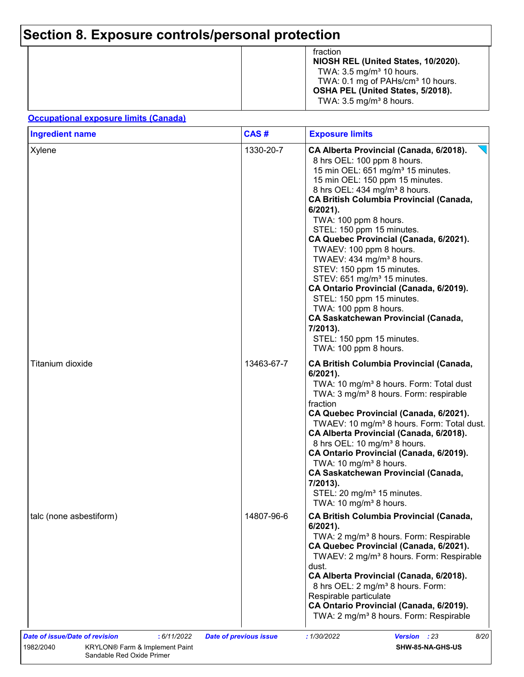|  | fraction<br>NIOSH REL (United States, 10/2020).<br>TWA: $3.5 \text{ mg/m}^3$ 10 hours.<br>TWA: 0.1 mg of PAHs/cm <sup>3</sup> 10 hours.<br>OSHA PEL (United States, 5/2018).<br>TWA: $3.5 \text{ mg/m}^3$ 8 hours. |
|--|--------------------------------------------------------------------------------------------------------------------------------------------------------------------------------------------------------------------|
|--|--------------------------------------------------------------------------------------------------------------------------------------------------------------------------------------------------------------------|

#### **Occupational exposure limits (Canada)**

| <b>Ingredient name</b>  | CAS#       | <b>Exposure limits</b>                                                                                                                                                                                                                                                                                                                                                                                                                                                                                                                                                                                                                                                                                                                |
|-------------------------|------------|---------------------------------------------------------------------------------------------------------------------------------------------------------------------------------------------------------------------------------------------------------------------------------------------------------------------------------------------------------------------------------------------------------------------------------------------------------------------------------------------------------------------------------------------------------------------------------------------------------------------------------------------------------------------------------------------------------------------------------------|
| Xylene                  | 1330-20-7  | CA Alberta Provincial (Canada, 6/2018).<br>8 hrs OEL: 100 ppm 8 hours.<br>15 min OEL: 651 mg/m <sup>3</sup> 15 minutes.<br>15 min OEL: 150 ppm 15 minutes.<br>8 hrs OEL: 434 mg/m <sup>3</sup> 8 hours.<br><b>CA British Columbia Provincial (Canada,</b><br>$6/2021$ ).<br>TWA: 100 ppm 8 hours.<br>STEL: 150 ppm 15 minutes.<br>CA Quebec Provincial (Canada, 6/2021).<br>TWAEV: 100 ppm 8 hours.<br>TWAEV: 434 mg/m <sup>3</sup> 8 hours.<br>STEV: 150 ppm 15 minutes.<br>STEV: 651 mg/m <sup>3</sup> 15 minutes.<br>CA Ontario Provincial (Canada, 6/2019).<br>STEL: 150 ppm 15 minutes.<br>TWA: 100 ppm 8 hours.<br><b>CA Saskatchewan Provincial (Canada,</b><br>7/2013).<br>STEL: 150 ppm 15 minutes.<br>TWA: 100 ppm 8 hours. |
| Titanium dioxide        | 13463-67-7 | <b>CA British Columbia Provincial (Canada,</b><br>6/2021).<br>TWA: 10 mg/m <sup>3</sup> 8 hours. Form: Total dust<br>TWA: 3 mg/m <sup>3</sup> 8 hours. Form: respirable<br>fraction<br>CA Quebec Provincial (Canada, 6/2021).<br>TWAEV: 10 mg/m <sup>3</sup> 8 hours. Form: Total dust.<br>CA Alberta Provincial (Canada, 6/2018).<br>8 hrs OEL: 10 mg/m <sup>3</sup> 8 hours.<br>CA Ontario Provincial (Canada, 6/2019).<br>TWA: 10 mg/m <sup>3</sup> 8 hours.<br><b>CA Saskatchewan Provincial (Canada,</b><br>7/2013).<br>STEL: 20 mg/m <sup>3</sup> 15 minutes.<br>TWA: 10 mg/m <sup>3</sup> 8 hours.                                                                                                                             |
| talc (none asbestiform) | 14807-96-6 | <b>CA British Columbia Provincial (Canada,</b><br>6/2021).<br>TWA: 2 mg/m <sup>3</sup> 8 hours. Form: Respirable<br>CA Quebec Provincial (Canada, 6/2021).<br>TWAEV: 2 mg/m <sup>3</sup> 8 hours. Form: Respirable<br>dust.<br>CA Alberta Provincial (Canada, 6/2018).<br>8 hrs OEL: 2 mg/m <sup>3</sup> 8 hours. Form:<br>Respirable particulate<br>CA Ontario Provincial (Canada, 6/2019).<br>TWA: 2 mg/m <sup>3</sup> 8 hours. Form: Respirable                                                                                                                                                                                                                                                                                    |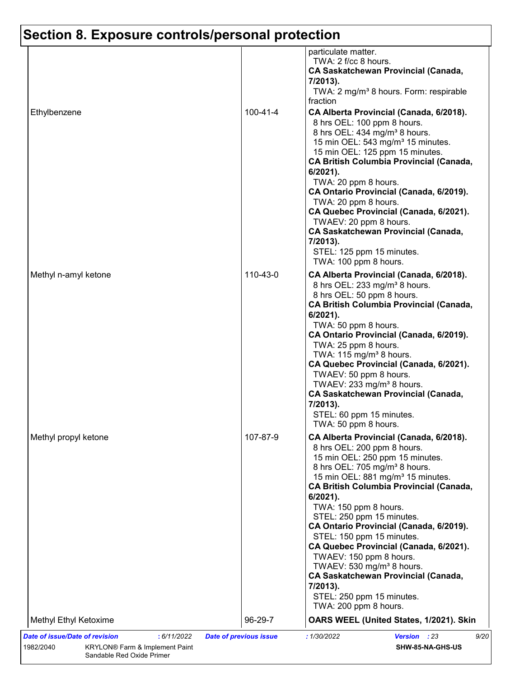| Ethylbenzene          | 100-41-4 | particulate matter.<br>TWA: 2 f/cc 8 hours.<br><b>CA Saskatchewan Provincial (Canada,</b><br>7/2013).<br>TWA: 2 mg/m <sup>3</sup> 8 hours. Form: respirable<br>fraction<br>CA Alberta Provincial (Canada, 6/2018).<br>8 hrs OEL: 100 ppm 8 hours.<br>8 hrs OEL: 434 mg/m <sup>3</sup> 8 hours.<br>15 min OEL: 543 mg/m <sup>3</sup> 15 minutes.<br>15 min OEL: 125 ppm 15 minutes.<br><b>CA British Columbia Provincial (Canada,</b>                                                                                                                                                                                                 |
|-----------------------|----------|--------------------------------------------------------------------------------------------------------------------------------------------------------------------------------------------------------------------------------------------------------------------------------------------------------------------------------------------------------------------------------------------------------------------------------------------------------------------------------------------------------------------------------------------------------------------------------------------------------------------------------------|
|                       |          | 6/2021).<br>TWA: 20 ppm 8 hours.<br>CA Ontario Provincial (Canada, 6/2019).<br>TWA: 20 ppm 8 hours.<br>CA Quebec Provincial (Canada, 6/2021).<br>TWAEV: 20 ppm 8 hours.<br><b>CA Saskatchewan Provincial (Canada,</b><br>7/2013).<br>STEL: 125 ppm 15 minutes.<br>TWA: 100 ppm 8 hours.                                                                                                                                                                                                                                                                                                                                              |
| Methyl n-amyl ketone  | 110-43-0 | CA Alberta Provincial (Canada, 6/2018).<br>8 hrs OEL: 233 mg/m <sup>3</sup> 8 hours.<br>8 hrs OEL: 50 ppm 8 hours.<br><b>CA British Columbia Provincial (Canada,</b><br>6/2021).<br>TWA: 50 ppm 8 hours.<br>CA Ontario Provincial (Canada, 6/2019).<br>TWA: 25 ppm 8 hours.<br>TWA: 115 mg/m <sup>3</sup> 8 hours.<br>CA Quebec Provincial (Canada, 6/2021).<br>TWAEV: 50 ppm 8 hours.<br>TWAEV: 233 mg/m <sup>3</sup> 8 hours.<br><b>CA Saskatchewan Provincial (Canada,</b><br>7/2013).<br>STEL: 60 ppm 15 minutes.<br>TWA: 50 ppm 8 hours.                                                                                        |
| Methyl propyl ketone  | 107-87-9 | CA Alberta Provincial (Canada, 6/2018).<br>8 hrs OEL: 200 ppm 8 hours.<br>15 min OEL: 250 ppm 15 minutes.<br>8 hrs OEL: 705 mg/m <sup>3</sup> 8 hours.<br>15 min OEL: 881 mg/m <sup>3</sup> 15 minutes.<br><b>CA British Columbia Provincial (Canada,</b><br>$6/2021$ ).<br>TWA: 150 ppm 8 hours.<br>STEL: 250 ppm 15 minutes.<br>CA Ontario Provincial (Canada, 6/2019).<br>STEL: 150 ppm 15 minutes.<br>CA Quebec Provincial (Canada, 6/2021).<br>TWAEV: 150 ppm 8 hours.<br>TWAEV: 530 mg/m <sup>3</sup> 8 hours.<br><b>CA Saskatchewan Provincial (Canada,</b><br>7/2013).<br>STEL: 250 ppm 15 minutes.<br>TWA: 200 ppm 8 hours. |
| Methyl Ethyl Ketoxime | 96-29-7  | OARS WEEL (United States, 1/2021). Skin                                                                                                                                                                                                                                                                                                                                                                                                                                                                                                                                                                                              |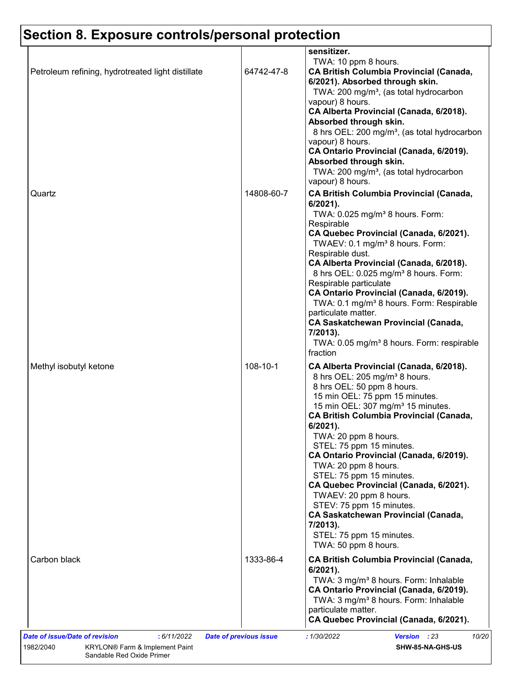| Petroleum refining, hydrotreated light distillate | 64742-47-8 | sensitizer.<br>TWA: 10 ppm 8 hours.<br><b>CA British Columbia Provincial (Canada,</b><br>6/2021). Absorbed through skin.<br>TWA: 200 mg/m <sup>3</sup> , (as total hydrocarbon<br>vapour) 8 hours.<br>CA Alberta Provincial (Canada, 6/2018).<br>Absorbed through skin.<br>8 hrs OEL: 200 mg/m <sup>3</sup> , (as total hydrocarbon<br>vapour) 8 hours.<br>CA Ontario Provincial (Canada, 6/2019).<br>Absorbed through skin.<br>TWA: 200 mg/m <sup>3</sup> , (as total hydrocarbon<br>vapour) 8 hours.                                                                                                                               |
|---------------------------------------------------|------------|--------------------------------------------------------------------------------------------------------------------------------------------------------------------------------------------------------------------------------------------------------------------------------------------------------------------------------------------------------------------------------------------------------------------------------------------------------------------------------------------------------------------------------------------------------------------------------------------------------------------------------------|
| Quartz                                            | 14808-60-7 | <b>CA British Columbia Provincial (Canada,</b><br>$6/2021$ ).<br>TWA: 0.025 mg/m <sup>3</sup> 8 hours. Form:<br>Respirable<br>CA Quebec Provincial (Canada, 6/2021).<br>TWAEV: 0.1 mg/m <sup>3</sup> 8 hours. Form:<br>Respirable dust.<br>CA Alberta Provincial (Canada, 6/2018).<br>8 hrs OEL: 0.025 mg/m <sup>3</sup> 8 hours. Form:<br>Respirable particulate<br>CA Ontario Provincial (Canada, 6/2019).<br>TWA: 0.1 mg/m <sup>3</sup> 8 hours. Form: Respirable<br>particulate matter.<br><b>CA Saskatchewan Provincial (Canada,</b><br>7/2013).<br>TWA: 0.05 mg/m <sup>3</sup> 8 hours. Form: respirable<br>fraction           |
| Methyl isobutyl ketone                            | 108-10-1   | CA Alberta Provincial (Canada, 6/2018).<br>8 hrs OEL: 205 mg/m <sup>3</sup> 8 hours.<br>8 hrs OEL: 50 ppm 8 hours.<br>15 min OEL: 75 ppm 15 minutes.<br>15 min OEL: 307 mg/m <sup>3</sup> 15 minutes.<br><b>CA British Columbia Provincial (Canada,</b><br>6/2021).<br>TWA: 20 ppm 8 hours.<br>STEL: 75 ppm 15 minutes.<br>CA Ontario Provincial (Canada, 6/2019).<br>TWA: 20 ppm 8 hours.<br>STEL: 75 ppm 15 minutes.<br>CA Quebec Provincial (Canada, 6/2021).<br>TWAEV: 20 ppm 8 hours.<br>STEV: 75 ppm 15 minutes.<br><b>CA Saskatchewan Provincial (Canada,</b><br>7/2013).<br>STEL: 75 ppm 15 minutes.<br>TWA: 50 ppm 8 hours. |
| Carbon black                                      | 1333-86-4  | <b>CA British Columbia Provincial (Canada,</b><br>$6/2021$ ).<br>TWA: 3 mg/m <sup>3</sup> 8 hours. Form: Inhalable<br>CA Ontario Provincial (Canada, 6/2019).<br>TWA: 3 mg/m <sup>3</sup> 8 hours. Form: Inhalable<br>particulate matter.<br>CA Quebec Provincial (Canada, 6/2021).                                                                                                                                                                                                                                                                                                                                                  |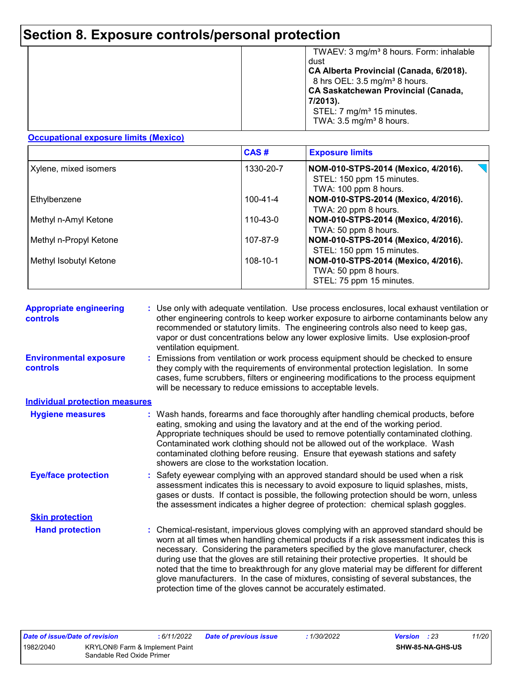|  | TWAEV: 3 mg/m <sup>3</sup> 8 hours. Form: inhalable<br>dust<br>CA Alberta Provincial (Canada, 6/2018).<br>8 hrs OEL: 3.5 mg/m <sup>3</sup> 8 hours.<br><b>CA Saskatchewan Provincial (Canada,</b><br>7/2013).<br>STEL: 7 mg/m <sup>3</sup> 15 minutes.<br>TWA: $3.5 \text{ mg/m}^3$ 8 hours. |
|--|----------------------------------------------------------------------------------------------------------------------------------------------------------------------------------------------------------------------------------------------------------------------------------------------|
|--|----------------------------------------------------------------------------------------------------------------------------------------------------------------------------------------------------------------------------------------------------------------------------------------------|

#### **Occupational exposure limits (Mexico)**

|                        | CAS#           | <b>Exposure limits</b>                                                                                            |
|------------------------|----------------|-------------------------------------------------------------------------------------------------------------------|
| Xylene, mixed isomers  | 1330-20-7      | $\blacktriangledown$<br>NOM-010-STPS-2014 (Mexico, 4/2016).<br>STEL: 150 ppm 15 minutes.<br>TWA: 100 ppm 8 hours. |
| Ethylbenzene           | $100 - 41 - 4$ | NOM-010-STPS-2014 (Mexico, 4/2016).<br>TWA: 20 ppm 8 hours.                                                       |
| Methyl n-Amyl Ketone   | 110-43-0       | NOM-010-STPS-2014 (Mexico, 4/2016).<br>TWA: 50 ppm 8 hours.                                                       |
| Methyl n-Propyl Ketone | 107-87-9       | NOM-010-STPS-2014 (Mexico, 4/2016).<br>STEL: 150 ppm 15 minutes.                                                  |
| Methyl Isobutyl Ketone | 108-10-1       | NOM-010-STPS-2014 (Mexico, 4/2016).<br>TWA: 50 ppm 8 hours.<br>STEL: 75 ppm 15 minutes.                           |

| <b>Appropriate engineering</b><br><b>controls</b> | : Use only with adequate ventilation. Use process enclosures, local exhaust ventilation or<br>other engineering controls to keep worker exposure to airborne contaminants below any<br>recommended or statutory limits. The engineering controls also need to keep gas,<br>vapor or dust concentrations below any lower explosive limits. Use explosion-proof<br>ventilation equipment.                                                                                                                                                                                                                                |
|---------------------------------------------------|------------------------------------------------------------------------------------------------------------------------------------------------------------------------------------------------------------------------------------------------------------------------------------------------------------------------------------------------------------------------------------------------------------------------------------------------------------------------------------------------------------------------------------------------------------------------------------------------------------------------|
| <b>Environmental exposure</b><br>controls         | Emissions from ventilation or work process equipment should be checked to ensure<br>they comply with the requirements of environmental protection legislation. In some<br>cases, fume scrubbers, filters or engineering modifications to the process equipment<br>will be necessary to reduce emissions to acceptable levels.                                                                                                                                                                                                                                                                                          |
| <b>Individual protection measures</b>             |                                                                                                                                                                                                                                                                                                                                                                                                                                                                                                                                                                                                                        |
| <b>Hygiene measures</b>                           | : Wash hands, forearms and face thoroughly after handling chemical products, before<br>eating, smoking and using the lavatory and at the end of the working period.<br>Appropriate techniques should be used to remove potentially contaminated clothing.<br>Contaminated work clothing should not be allowed out of the workplace. Wash<br>contaminated clothing before reusing. Ensure that eyewash stations and safety<br>showers are close to the workstation location.                                                                                                                                            |
| <b>Eye/face protection</b>                        | : Safety eyewear complying with an approved standard should be used when a risk<br>assessment indicates this is necessary to avoid exposure to liquid splashes, mists,<br>gases or dusts. If contact is possible, the following protection should be worn, unless<br>the assessment indicates a higher degree of protection: chemical splash goggles.                                                                                                                                                                                                                                                                  |
| <b>Skin protection</b>                            |                                                                                                                                                                                                                                                                                                                                                                                                                                                                                                                                                                                                                        |
| <b>Hand protection</b>                            | : Chemical-resistant, impervious gloves complying with an approved standard should be<br>worn at all times when handling chemical products if a risk assessment indicates this is<br>necessary. Considering the parameters specified by the glove manufacturer, check<br>during use that the gloves are still retaining their protective properties. It should be<br>noted that the time to breakthrough for any glove material may be different for different<br>glove manufacturers. In the case of mixtures, consisting of several substances, the<br>protection time of the gloves cannot be accurately estimated. |

| <b>Date of issue/Date of revision</b>       |                           | 6/11/2022 | <b>Date of previous issue</b> | <i>1/30/2022</i> | <b>Version</b> : 23 | 11/20 |
|---------------------------------------------|---------------------------|-----------|-------------------------------|------------------|---------------------|-------|
| 1982/2040<br>KRYLON® Farm & Implement Paint |                           |           |                               | SHW-85-NA-GHS-US |                     |       |
|                                             | Sandable Red Oxide Primer |           |                               |                  |                     |       |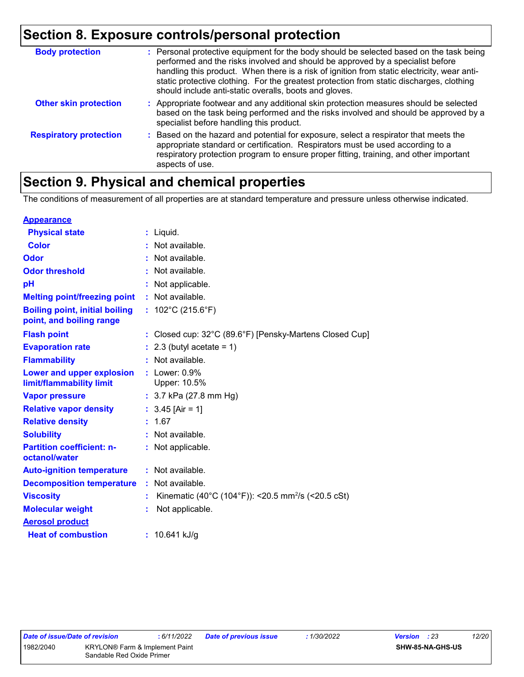| <b>Body protection</b>        | : Personal protective equipment for the body should be selected based on the task being<br>performed and the risks involved and should be approved by a specialist before<br>handling this product. When there is a risk of ignition from static electricity, wear anti-<br>static protective clothing. For the greatest protection from static discharges, clothing<br>should include anti-static overalls, boots and gloves. |
|-------------------------------|--------------------------------------------------------------------------------------------------------------------------------------------------------------------------------------------------------------------------------------------------------------------------------------------------------------------------------------------------------------------------------------------------------------------------------|
| <b>Other skin protection</b>  | : Appropriate footwear and any additional skin protection measures should be selected<br>based on the task being performed and the risks involved and should be approved by a<br>specialist before handling this product.                                                                                                                                                                                                      |
| <b>Respiratory protection</b> | : Based on the hazard and potential for exposure, select a respirator that meets the<br>appropriate standard or certification. Respirators must be used according to a<br>respiratory protection program to ensure proper fitting, training, and other important<br>aspects of use.                                                                                                                                            |

# **Section 9. Physical and chemical properties**

The conditions of measurement of all properties are at standard temperature and pressure unless otherwise indicated.

| <b>Appearance</b>                                                 |    |                                                                |
|-------------------------------------------------------------------|----|----------------------------------------------------------------|
| <b>Physical state</b>                                             |    | : Liquid.                                                      |
| Color                                                             |    | : Not available.                                               |
| <b>Odor</b>                                                       |    | : Not available.                                               |
| <b>Odor threshold</b>                                             |    | : Not available.                                               |
| pH                                                                |    | Not applicable.                                                |
| <b>Melting point/freezing point</b>                               |    | : Not available.                                               |
| <b>Boiling point, initial boiling</b><br>point, and boiling range |    | : $102^{\circ}$ C (215.6 $^{\circ}$ F)                         |
| <b>Flash point</b>                                                |    | : Closed cup: 32°C (89.6°F) [Pensky-Martens Closed Cup]        |
| <b>Evaporation rate</b>                                           |    | $: 2.3$ (butyl acetate = 1)                                    |
| <b>Flammability</b>                                               |    | Not available.                                                 |
| Lower and upper explosion<br>limit/flammability limit             |    | $:$ Lower: $0.9\%$<br>Upper: 10.5%                             |
| <b>Vapor pressure</b>                                             |    | : $3.7$ kPa (27.8 mm Hg)                                       |
| <b>Relative vapor density</b>                                     |    | : $3.45$ [Air = 1]                                             |
| <b>Relative density</b>                                           |    | : 1.67                                                         |
| <b>Solubility</b>                                                 |    | : Not available.                                               |
| <b>Partition coefficient: n-</b><br>octanol/water                 |    | : Not applicable.                                              |
| <b>Auto-ignition temperature</b>                                  |    | : Not available.                                               |
| <b>Decomposition temperature</b>                                  |    | : Not available.                                               |
| <b>Viscosity</b>                                                  | t. | Kinematic (40°C (104°F)): <20.5 mm <sup>2</sup> /s (<20.5 cSt) |
| <b>Molecular weight</b>                                           | t. | Not applicable.                                                |
| <b>Aerosol product</b>                                            |    |                                                                |
| <b>Heat of combustion</b>                                         |    | : $10.641$ kJ/g                                                |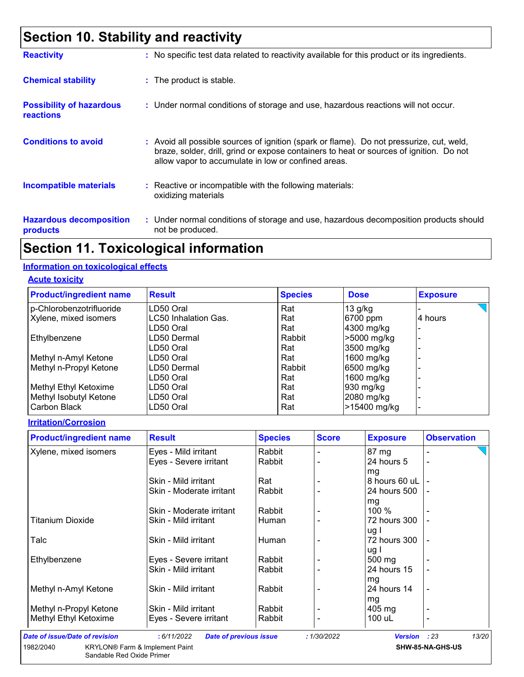# **Section 10. Stability and reactivity**

| <b>Reactivity</b>                                   | : No specific test data related to reactivity available for this product or its ingredients.                                                                                                                                               |
|-----------------------------------------------------|--------------------------------------------------------------------------------------------------------------------------------------------------------------------------------------------------------------------------------------------|
| <b>Chemical stability</b>                           | : The product is stable.                                                                                                                                                                                                                   |
| <b>Possibility of hazardous</b><br><b>reactions</b> | : Under normal conditions of storage and use, hazardous reactions will not occur.                                                                                                                                                          |
| <b>Conditions to avoid</b>                          | : Avoid all possible sources of ignition (spark or flame). Do not pressurize, cut, weld,<br>braze, solder, drill, grind or expose containers to heat or sources of ignition. Do not<br>allow vapor to accumulate in low or confined areas. |
| <b>Incompatible materials</b>                       | $\therefore$ Reactive or incompatible with the following materials:<br>oxidizing materials                                                                                                                                                 |
| <b>Hazardous decomposition</b><br>products          | : Under normal conditions of storage and use, hazardous decomposition products should<br>not be produced.                                                                                                                                  |

# **Section 11. Toxicological information**

#### **Information on toxicological effects**

**Acute toxicity**

| <b>Product/ingredient name</b> | <b>Result</b>               | <b>Species</b> | <b>Dose</b>  | <b>Exposure</b> |
|--------------------------------|-----------------------------|----------------|--------------|-----------------|
| p-Chlorobenzotrifluoride       | LD50 Oral                   | Rat            | $13$ g/kg    |                 |
| Xylene, mixed isomers          | <b>LC50 Inhalation Gas.</b> | Rat            | 6700 ppm     | 4 hours         |
|                                | LD50 Oral                   | Rat            | 4300 mg/kg   |                 |
| Ethylbenzene                   | LD50 Dermal                 | Rabbit         | >5000 mg/kg  |                 |
|                                | LD50 Oral                   | Rat            | 3500 mg/kg   |                 |
| Methyl n-Amyl Ketone           | LD50 Oral                   | Rat            | 1600 $mg/kg$ |                 |
| Methyl n-Propyl Ketone         | LD50 Dermal                 | Rabbit         | 6500 mg/kg   |                 |
|                                | LD50 Oral                   | Rat            | 1600 $mg/kg$ |                 |
| Methyl Ethyl Ketoxime          | LD50 Oral                   | Rat            | 930 mg/kg    |                 |
| Methyl Isobutyl Ketone         | LD50 Oral                   | Rat            | 2080 mg/kg   |                 |
| Carbon Black                   | LD50 Oral                   | Rat            | >15400 mg/kg |                 |

#### **Irritation/Corrosion**

| <b>Product/ingredient name</b>        | <b>Result</b>                                | <b>Species</b> | <b>Score</b> | <b>Exposure</b>  | <b>Observation</b> |
|---------------------------------------|----------------------------------------------|----------------|--------------|------------------|--------------------|
| Xylene, mixed isomers                 | Eyes - Mild irritant                         | Rabbit         |              | $87 \text{ mg}$  |                    |
|                                       | Eyes - Severe irritant                       | Rabbit         |              | 24 hours 5       |                    |
|                                       |                                              |                |              | mg               |                    |
|                                       | Skin - Mild irritant                         | Rat            |              | 8 hours 60 uL    |                    |
|                                       | Skin - Moderate irritant                     | Rabbit         |              | 24 hours 500     |                    |
|                                       |                                              |                |              | mg               |                    |
|                                       | Skin - Moderate irritant                     | Rabbit         |              | 100 %            |                    |
| <b>Titanium Dioxide</b>               | Skin - Mild irritant                         | Human          |              | 72 hours 300     |                    |
|                                       |                                              |                |              | ug l             |                    |
| Talc                                  | Skin - Mild irritant                         | Human          |              | 72 hours 300     |                    |
|                                       |                                              |                |              | ug l             |                    |
| Ethylbenzene                          | Eyes - Severe irritant                       | Rabbit         |              | 500 mg           |                    |
|                                       | Skin - Mild irritant                         | Rabbit         |              | 24 hours 15      |                    |
|                                       |                                              |                |              | mg               |                    |
| Methyl n-Amyl Ketone                  | Skin - Mild irritant                         | Rabbit         |              | 24 hours 14      |                    |
|                                       |                                              |                |              | mg               |                    |
| Methyl n-Propyl Ketone                | Skin - Mild irritant                         | Rabbit         |              | $405 \text{ mg}$ |                    |
| Methyl Ethyl Ketoxime                 | Eyes - Severe irritant                       | Rabbit         |              | 100 uL           |                    |
| <b>Date of issue/Date of revision</b> | : 6/11/2022<br><b>Date of previous issue</b> |                | : 1/30/2022  | <b>Version</b>   | 13/20<br>: 23      |

Sandable Red Oxide Primer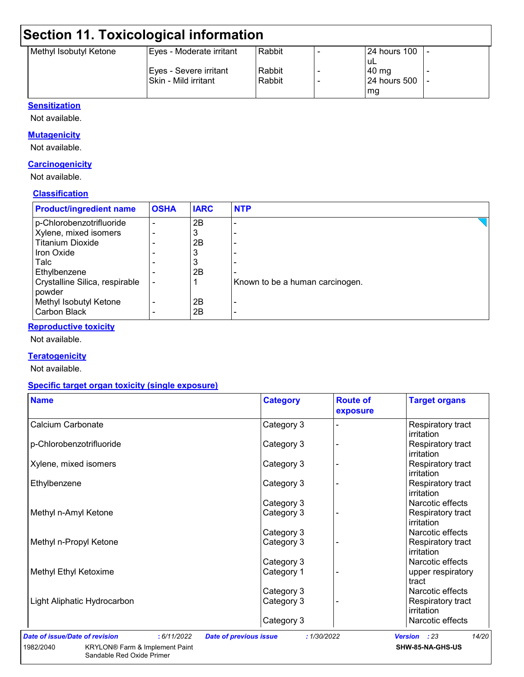# **Section 11. Toxicological information**

| Methyl Isobutyl Ketone | Eyes - Moderate irritant | Rabbit | 24 hours 100        |  |
|------------------------|--------------------------|--------|---------------------|--|
|                        |                          |        | uL                  |  |
|                        | Eyes - Severe irritant   | Rabbit | 40 mg               |  |
|                        | ISkin - Mild irritant    | Rabbit | <b>24 hours 500</b> |  |
|                        |                          |        | mg                  |  |

#### **Sensitization**

Not available.

#### **Mutagenicity**

Not available.

#### **Carcinogenicity**

Not available.

#### **Classification**

| <b>Product/ingredient name</b>           | <b>OSHA</b> | <b>IARC</b> | <b>NTP</b>                      |
|------------------------------------------|-------------|-------------|---------------------------------|
| p-Chlorobenzotrifluoride                 |             | 2B          |                                 |
| Xylene, mixed isomers                    |             | 3           |                                 |
| <b>Titanium Dioxide</b>                  |             | 2B          |                                 |
| <b>Iron Oxide</b>                        |             | ن           |                                 |
| Talc                                     |             | 3           |                                 |
| Ethylbenzene                             |             | 2B          |                                 |
| Crystalline Silica, respirable<br>powder |             |             | Known to be a human carcinogen. |
| Methyl Isobutyl Ketone                   |             | 2Β          |                                 |
| <b>Carbon Black</b>                      |             | 2Β          |                                 |

#### **Reproductive toxicity**

Not available.

#### **Teratogenicity**

Not available.

#### **Specific target organ toxicity (single exposure)**

Sandable Red Oxide Primer

| <b>Name</b>                 | <b>Category</b> | <b>Route of</b><br>exposure | <b>Target organs</b>            |
|-----------------------------|-----------------|-----------------------------|---------------------------------|
| Calcium Carbonate           | Category 3      |                             | Respiratory tract<br>irritation |
| p-Chlorobenzotrifluoride    | Category 3      |                             | Respiratory tract<br>irritation |
| Xylene, mixed isomers       | Category 3      |                             | Respiratory tract<br>irritation |
| Ethylbenzene                | Category 3      |                             | Respiratory tract<br>irritation |
|                             | Category 3      |                             | Narcotic effects                |
| Methyl n-Amyl Ketone        | Category 3      |                             | Respiratory tract<br>irritation |
|                             | Category 3      |                             | Narcotic effects                |
| Methyl n-Propyl Ketone      | Category 3      |                             | Respiratory tract<br>irritation |
|                             | Category 3      |                             | Narcotic effects                |
| Methyl Ethyl Ketoxime       | Category 1      |                             | upper respiratory<br>tract      |
|                             | Category 3      |                             | Narcotic effects                |
| Light Aliphatic Hydrocarbon | Category 3      |                             | Respiratory tract<br>irritation |
|                             | Category 3      |                             | Narcotic effects                |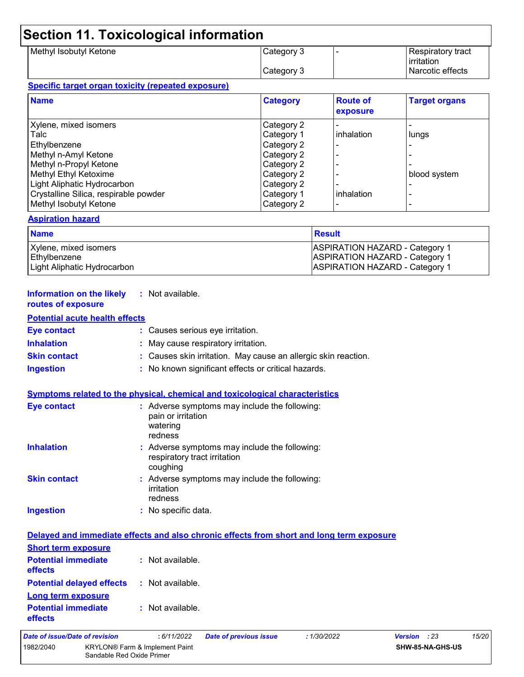# **Section 11. Toxicological information**

| Methyl Isobutyl Ketone | Category 3 | Respiratory tract |
|------------------------|------------|-------------------|
|                        |            | irritation        |
|                        | Category 3 | Narcotic effects  |

#### **Specific target organ toxicity (repeated exposure)**

| <b>Name</b>                           | <b>Category</b> | <b>Route of</b><br>exposure | <b>Target organs</b> |
|---------------------------------------|-----------------|-----------------------------|----------------------|
| Xylene, mixed isomers                 | Category 2      |                             |                      |
| Talc                                  | Category 1      | inhalation                  | lungs                |
| Ethylbenzene                          | Category 2      |                             |                      |
| Methyl n-Amyl Ketone                  | Category 2      |                             |                      |
| Methyl n-Propyl Ketone                | Category 2      |                             |                      |
| Methyl Ethyl Ketoxime                 | Category 2      |                             | blood system         |
| Light Aliphatic Hydrocarbon           | Category 2      |                             |                      |
| Crystalline Silica, respirable powder | Category 1      | inhalation                  |                      |
| Methyl Isobutyl Ketone                | Category 2      |                             |                      |

#### **Aspiration hazard**

| <b>Name</b>                           | <b>Result</b>                                                                  |
|---------------------------------------|--------------------------------------------------------------------------------|
| Xylene, mixed isomers<br>Ethylbenzene | <b>ASPIRATION HAZARD - Category 1</b><br><b>ASPIRATION HAZARD - Category 1</b> |
| Light Aliphatic Hydrocarbon           | <b>ASPIRATION HAZARD - Category 1</b>                                          |

| <b>Information on the likely</b> | : Not available. |
|----------------------------------|------------------|
| routes of exposure               |                  |

#### **Potential acute health effects**

| <b>Eye contact</b>  | : Causes serious eye irritation.                               |
|---------------------|----------------------------------------------------------------|
| <b>Inhalation</b>   | : May cause respiratory irritation.                            |
| <b>Skin contact</b> | : Causes skin irritation. May cause an allergic skin reaction. |
| <b>Ingestion</b>    | : No known significant effects or critical hazards.            |

#### **Symptoms related to the physical, chemical and toxicological characteristics**

| <b>Eye contact</b>  | : Adverse symptoms may include the following:<br>pain or irritation<br>watering<br>redness |
|---------------------|--------------------------------------------------------------------------------------------|
| <b>Inhalation</b>   | : Adverse symptoms may include the following:<br>respiratory tract irritation<br>coughing  |
| <b>Skin contact</b> | : Adverse symptoms may include the following:<br>irritation<br>redness                     |
| <b>Ingestion</b>    | : No specific data.                                                                        |

| Delayed and immediate effects and also chronic effects from short and long term exposure |                  |                               |            |                        |  |
|------------------------------------------------------------------------------------------|------------------|-------------------------------|------------|------------------------|--|
| <b>Short term exposure</b>                                                               |                  |                               |            |                        |  |
| <b>Potential immediate</b><br><b>effects</b>                                             | : Not available. |                               |            |                        |  |
| <b>Potential delayed effects : Not available.</b><br><b>Long term exposure</b>           |                  |                               |            |                        |  |
| <b>Potential immediate</b><br><b>effects</b>                                             | : Not available. |                               |            |                        |  |
| Date of issue/Date of revision                                                           | :6/11/2022       | <b>Date of previous issue</b> | :1/30/2022 | <b>Version</b><br>: 23 |  |

| Date of issue/Date of revision |                                                             | : 6/11/2022 | <b>Date of previous issue</b> | : 1/30/2022 | <b>Version</b> : 23 |                  | 15/20 |
|--------------------------------|-------------------------------------------------------------|-------------|-------------------------------|-------------|---------------------|------------------|-------|
| 1982/2040                      | KRYLON® Farm & Implement Paint<br>Sandable Red Oxide Primer |             |                               |             |                     | SHW-85-NA-GHS-US |       |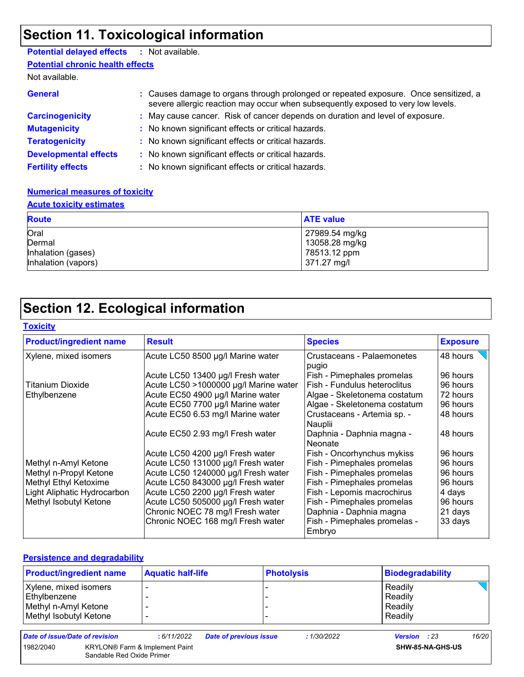# **Section 11. Toxicological information**

### **Potential delayed effects :** Not available.

**Potential chronic health effects**

Not available.

| <b>General</b>               | : Causes damage to organs through prolonged or repeated exposure. Once sensitized, a<br>severe allergic reaction may occur when subsequently exposed to very low levels. |
|------------------------------|--------------------------------------------------------------------------------------------------------------------------------------------------------------------------|
| <b>Carcinogenicity</b>       | : May cause cancer. Risk of cancer depends on duration and level of exposure.                                                                                            |
| <b>Mutagenicity</b>          | : No known significant effects or critical hazards.                                                                                                                      |
| <b>Teratogenicity</b>        | : No known significant effects or critical hazards.                                                                                                                      |
| <b>Developmental effects</b> | : No known significant effects or critical hazards.                                                                                                                      |
| <b>Fertility effects</b>     | : No known significant effects or critical hazards.                                                                                                                      |

#### **Numerical measures of toxicity**

#### **Acute toxicity estimates**

| <b>Route</b>                 | <b>ATE value</b>               |
|------------------------------|--------------------------------|
| Oral                         | 27989.54 mg/kg                 |
| Dermal<br>Inhalation (gases) | 13058.28 mg/kg<br>78513.12 ppm |
| Inhalation (vapors)          | 371.27 mg/l                    |

# **Section 12. Ecological information**

#### **Toxicity**

| <b>Product/ingredient name</b> | <b>Result</b>                         | <b>Species</b>                          | <b>Exposure</b> |
|--------------------------------|---------------------------------------|-----------------------------------------|-----------------|
| Xylene, mixed isomers          | Acute LC50 8500 µg/l Marine water     | Crustaceans - Palaemonetes<br>pugio     | 48 hours        |
|                                | Acute LC50 13400 µg/l Fresh water     | Fish - Pimephales promelas              | 96 hours        |
| Titanium Dioxide               | Acute LC50 >1000000 µg/l Marine water | l Fish - Fundulus heteroclitus          | 96 hours        |
| Ethylbenzene                   | Acute EC50 4900 µg/l Marine water     | Algae - Skeletonema costatum            | 72 hours        |
|                                | Acute EC50 7700 µg/l Marine water     | Algae - Skeletonema costatum            | 96 hours        |
|                                | Acute EC50 6.53 mg/l Marine water     | Crustaceans - Artemia sp. -<br> Nauplii | 48 hours        |
|                                | Acute EC50 2.93 mg/l Fresh water      | Daphnia - Daphnia magna -<br>l Neonate  | 48 hours        |
|                                | Acute LC50 4200 µg/l Fresh water      | Fish - Oncorhynchus mykiss              | 96 hours        |
| Methyl n-Amyl Ketone           | Acute LC50 131000 µg/l Fresh water    | Fish - Pimephales promelas              | 96 hours        |
| Methyl n-Propyl Ketone         | Acute LC50 1240000 µg/l Fresh water   | Fish - Pimephales promelas              | 96 hours        |
| Methyl Ethyl Ketoxime          | Acute LC50 843000 µg/l Fresh water    | Fish - Pimephales promelas              | 96 hours        |
| Light Aliphatic Hydrocarbon    | Acute LC50 2200 µg/l Fresh water      | Fish - Lepomis macrochirus              | 4 days          |
| Methyl Isobutyl Ketone         | Acute LC50 505000 µg/l Fresh water    | Fish - Pimephales promelas              | 96 hours        |
|                                | Chronic NOEC 78 mg/l Fresh water      | Daphnia - Daphnia magna                 | 21 days         |
|                                | Chronic NOEC 168 mg/l Fresh water     | Fish - Pimephales promelas -<br>Embryo  | 33 days         |

#### **Persistence and degradability**

| <b>Product/ingredient name</b>                                                          |                           | <b>Aquatic half-life</b>              |                               | <b>Photolysis</b> |             | Biodegradability                         |                  |       |
|-----------------------------------------------------------------------------------------|---------------------------|---------------------------------------|-------------------------------|-------------------|-------------|------------------------------------------|------------------|-------|
| Xylene, mixed isomers<br>Ethylbenzene<br>Methyl n-Amyl Ketone<br>Methyl Isobutyl Ketone |                           |                                       |                               |                   |             | Readily<br>Readily<br>Readily<br>Readily |                  |       |
| Date of issue/Date of revision                                                          |                           | : 6/11/2022                           | <b>Date of previous issue</b> |                   | : 1/30/2022 | <b>Version</b> : 23                      |                  | 16/20 |
| 1982/2040                                                                               | Sandable Red Oxide Primer | <b>KRYLON®</b> Farm & Implement Paint |                               |                   |             |                                          | SHW-85-NA-GHS-US |       |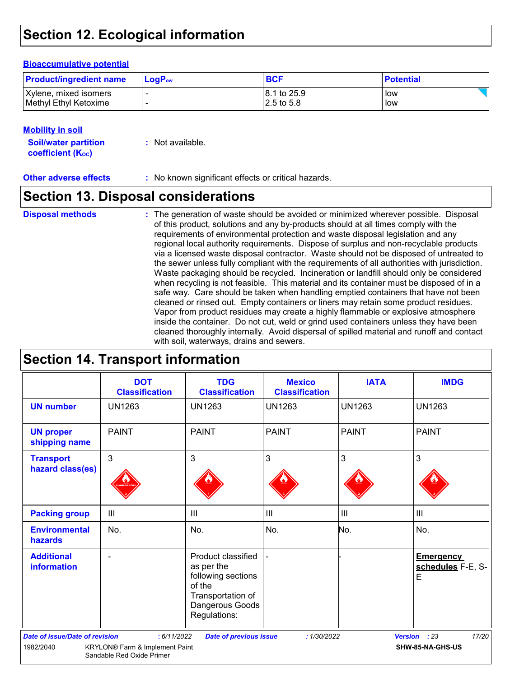# **Section 12. Ecological information**

#### **Bioaccumulative potential**

| <b>Product/ingredient name</b> | $LoaPow$ | <b>BCF</b>  | <b>Potential</b> |
|--------------------------------|----------|-------------|------------------|
| Xylene, mixed isomers          |          | 8.1 to 25.9 | low              |
| Methyl Ethyl Ketoxime          |          | 2.5 to 5.8  | low              |

#### **Mobility in soil**

**Soil/water partition coefficient (KOC) :** Not available.

**Other adverse effects** : No known significant effects or critical hazards.

### **Section 13. Disposal considerations**

#### **Disposal methods :**

The generation of waste should be avoided or minimized wherever possible. Disposal of this product, solutions and any by-products should at all times comply with the requirements of environmental protection and waste disposal legislation and any regional local authority requirements. Dispose of surplus and non-recyclable products via a licensed waste disposal contractor. Waste should not be disposed of untreated to the sewer unless fully compliant with the requirements of all authorities with jurisdiction. Waste packaging should be recycled. Incineration or landfill should only be considered when recycling is not feasible. This material and its container must be disposed of in a safe way. Care should be taken when handling emptied containers that have not been cleaned or rinsed out. Empty containers or liners may retain some product residues. Vapor from product residues may create a highly flammable or explosive atmosphere inside the container. Do not cut, weld or grind used containers unless they have been cleaned thoroughly internally. Avoid dispersal of spilled material and runoff and contact with soil, waterways, drains and sewers.

### **Section 14. Transport information**

|                                                    | <b>DOT</b><br><b>Classification</b>                                        | <b>TDG</b><br><b>Classification</b>                                                                                      | <b>Mexico</b><br><b>Classification</b> | <b>IATA</b>   | <b>IMDG</b>                                |
|----------------------------------------------------|----------------------------------------------------------------------------|--------------------------------------------------------------------------------------------------------------------------|----------------------------------------|---------------|--------------------------------------------|
| <b>UN number</b>                                   | <b>UN1263</b>                                                              | <b>UN1263</b>                                                                                                            | <b>UN1263</b>                          | <b>UN1263</b> | <b>UN1263</b>                              |
| <b>UN proper</b><br>shipping name                  | <b>PAINT</b>                                                               | <b>PAINT</b>                                                                                                             | <b>PAINT</b>                           | <b>PAINT</b>  | <b>PAINT</b>                               |
| <b>Transport</b><br>hazard class(es)               | 3                                                                          | 3                                                                                                                        | 3                                      | 3             | 3                                          |
| <b>Packing group</b>                               | $\mathbf{III}$                                                             | $\mathbf{III}$                                                                                                           | $\  \ $                                | III           | $\mathbf{III}$                             |
| <b>Environmental</b><br>hazards                    | No.                                                                        | No.                                                                                                                      | No.                                    | No.           | No.                                        |
| <b>Additional</b><br><b>information</b>            |                                                                            | Product classified<br>as per the<br>following sections<br>of the<br>Transportation of<br>Dangerous Goods<br>Regulations: |                                        |               | <b>Emergency</b><br>schedules F-E, S-<br>E |
| <b>Date of issue/Date of revision</b><br>1982/2040 | : 6/11/2022<br>KRYLON® Farm & Implement Paint<br>Sandable Red Oxide Primer | <b>Date of previous issue</b>                                                                                            | : 1/30/2022                            |               | Version : 23<br>17/20<br>SHW-85-NA-GHS-US  |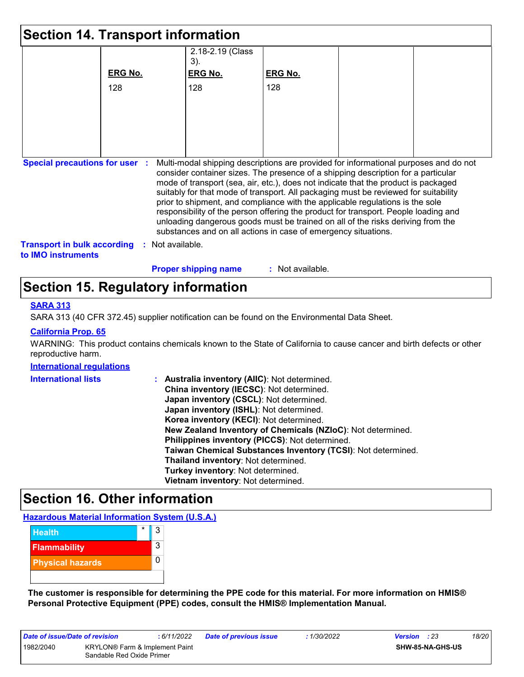| <b>Section 14. Transport information</b>                        |                |                                                                                                                                                                                                                                                                                                                                                                                                                                                                                                                                                                                             |                    |  |                                                                                      |
|-----------------------------------------------------------------|----------------|---------------------------------------------------------------------------------------------------------------------------------------------------------------------------------------------------------------------------------------------------------------------------------------------------------------------------------------------------------------------------------------------------------------------------------------------------------------------------------------------------------------------------------------------------------------------------------------------|--------------------|--|--------------------------------------------------------------------------------------|
|                                                                 |                | 2.18-2.19 (Class<br>3).                                                                                                                                                                                                                                                                                                                                                                                                                                                                                                                                                                     |                    |  |                                                                                      |
|                                                                 | <b>ERG No.</b> | <b>ERG No.</b>                                                                                                                                                                                                                                                                                                                                                                                                                                                                                                                                                                              | <b>ERG No.</b>     |  |                                                                                      |
|                                                                 | 128            | 128                                                                                                                                                                                                                                                                                                                                                                                                                                                                                                                                                                                         | 128                |  |                                                                                      |
|                                                                 |                |                                                                                                                                                                                                                                                                                                                                                                                                                                                                                                                                                                                             |                    |  |                                                                                      |
|                                                                 |                |                                                                                                                                                                                                                                                                                                                                                                                                                                                                                                                                                                                             |                    |  |                                                                                      |
|                                                                 |                |                                                                                                                                                                                                                                                                                                                                                                                                                                                                                                                                                                                             |                    |  |                                                                                      |
|                                                                 |                |                                                                                                                                                                                                                                                                                                                                                                                                                                                                                                                                                                                             |                    |  |                                                                                      |
| <b>Special precautions for user :</b>                           |                | consider container sizes. The presence of a shipping description for a particular<br>mode of transport (sea, air, etc.), does not indicate that the product is packaged<br>suitably for that mode of transport. All packaging must be reviewed for suitability<br>prior to shipment, and compliance with the applicable regulations is the sole<br>responsibility of the person offering the product for transport. People loading and<br>unloading dangerous goods must be trained on all of the risks deriving from the<br>substances and on all actions in case of emergency situations. |                    |  | Multi-modal shipping descriptions are provided for informational purposes and do not |
| <b>Transport in bulk according</b><br>to <b>IMO</b> instruments |                | : Not available.                                                                                                                                                                                                                                                                                                                                                                                                                                                                                                                                                                            |                    |  |                                                                                      |
|                                                                 |                | <b>Proper shipping name</b>                                                                                                                                                                                                                                                                                                                                                                                                                                                                                                                                                                 | $:$ Not available. |  |                                                                                      |

# **Section 15. Regulatory information**

#### **SARA 313**

SARA 313 (40 CFR 372.45) supplier notification can be found on the Environmental Data Sheet.

#### **California Prop. 65**

WARNING: This product contains chemicals known to the State of California to cause cancer and birth defects or other reproductive harm.

#### **International regulations**

| <b>International lists</b> | : Australia inventory (AIIC): Not determined.<br>China inventory (IECSC): Not determined.<br>Japan inventory (CSCL): Not determined.<br>Japan inventory (ISHL): Not determined.<br>Korea inventory (KECI): Not determined.<br>New Zealand Inventory of Chemicals (NZIoC): Not determined.<br>Philippines inventory (PICCS): Not determined.<br>Taiwan Chemical Substances Inventory (TCSI): Not determined.<br>Thailand inventory: Not determined.<br>Turkey inventory: Not determined. |
|----------------------------|-----------------------------------------------------------------------------------------------------------------------------------------------------------------------------------------------------------------------------------------------------------------------------------------------------------------------------------------------------------------------------------------------------------------------------------------------------------------------------------------|
|                            | Vietnam inventory: Not determined.                                                                                                                                                                                                                                                                                                                                                                                                                                                      |

### **Section 16. Other information**

#### **Hazardous Material Information System (U.S.A.)**



**The customer is responsible for determining the PPE code for this material. For more information on HMIS® Personal Protective Equipment (PPE) codes, consult the HMIS® Implementation Manual.**

| Date of issue/Date of revision |                                                             | :6/11/2022 | <b>Date of previous issue</b> | : 1/30/2022 | <b>Version</b> : 23 |                         | 18/20 |
|--------------------------------|-------------------------------------------------------------|------------|-------------------------------|-------------|---------------------|-------------------------|-------|
| 1982/2040                      | KRYLON® Farm & Implement Paint<br>Sandable Red Oxide Primer |            |                               |             |                     | <b>SHW-85-NA-GHS-US</b> |       |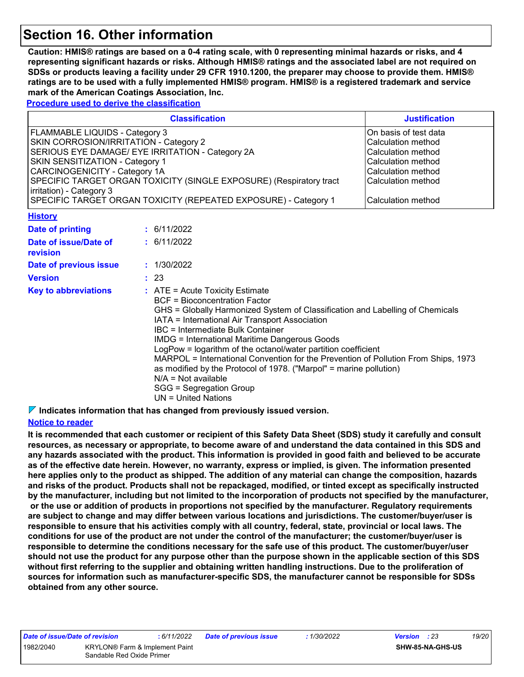# **Section 16. Other information**

**Caution: HMIS® ratings are based on a 0-4 rating scale, with 0 representing minimal hazards or risks, and 4 representing significant hazards or risks. Although HMIS® ratings and the associated label are not required on SDSs or products leaving a facility under 29 CFR 1910.1200, the preparer may choose to provide them. HMIS® ratings are to be used with a fully implemented HMIS® program. HMIS® is a registered trademark and service mark of the American Coatings Association, Inc.**

**Procedure used to derive the classification**

|                                                                                                                                                                                                                                                                                                                                                                                                                                                                                                                                                                                                                                                    |  | <b>Classification</b> | <b>Justification</b>                                                                                                                                                    |
|----------------------------------------------------------------------------------------------------------------------------------------------------------------------------------------------------------------------------------------------------------------------------------------------------------------------------------------------------------------------------------------------------------------------------------------------------------------------------------------------------------------------------------------------------------------------------------------------------------------------------------------------------|--|-----------------------|-------------------------------------------------------------------------------------------------------------------------------------------------------------------------|
| FLAMMABLE LIQUIDS - Category 3<br>SKIN CORROSION/IRRITATION - Category 2<br>SERIOUS EYE DAMAGE/ EYE IRRITATION - Category 2A<br>SKIN SENSITIZATION - Category 1<br>CARCINOGENICITY - Category 1A<br>SPECIFIC TARGET ORGAN TOXICITY (SINGLE EXPOSURE) (Respiratory tract<br>irritation) - Category 3<br>SPECIFIC TARGET ORGAN TOXICITY (REPEATED EXPOSURE) - Category 1                                                                                                                                                                                                                                                                             |  |                       | On basis of test data<br>Calculation method<br><b>Calculation method</b><br><b>Calculation method</b><br>Calculation method<br>Calculation method<br>Calculation method |
| <b>History</b>                                                                                                                                                                                                                                                                                                                                                                                                                                                                                                                                                                                                                                     |  |                       |                                                                                                                                                                         |
| <b>Date of printing</b>                                                                                                                                                                                                                                                                                                                                                                                                                                                                                                                                                                                                                            |  | : 6/11/2022           |                                                                                                                                                                         |
| Date of issue/Date of<br>revision                                                                                                                                                                                                                                                                                                                                                                                                                                                                                                                                                                                                                  |  | : 6/11/2022           |                                                                                                                                                                         |
| Date of previous issue                                                                                                                                                                                                                                                                                                                                                                                                                                                                                                                                                                                                                             |  | : 1/30/2022           |                                                                                                                                                                         |
| <b>Version</b>                                                                                                                                                                                                                                                                                                                                                                                                                                                                                                                                                                                                                                     |  | : 23                  |                                                                                                                                                                         |
| <b>Key to abbreviations</b><br>$:$ ATE = Acute Toxicity Estimate<br><b>BCF</b> = Bioconcentration Factor<br>GHS = Globally Harmonized System of Classification and Labelling of Chemicals<br>IATA = International Air Transport Association<br>IBC = Intermediate Bulk Container<br><b>IMDG = International Maritime Dangerous Goods</b><br>LogPow = logarithm of the octanol/water partition coefficient<br>MARPOL = International Convention for the Prevention of Pollution From Ships, 1973<br>as modified by the Protocol of 1978. ("Marpol" = marine pollution)<br>$N/A = Not available$<br>SGG = Segregation Group<br>$UN = United Nations$ |  |                       |                                                                                                                                                                         |

**Indicates information that has changed from previously issued version.**

#### **Notice to reader**

**It is recommended that each customer or recipient of this Safety Data Sheet (SDS) study it carefully and consult resources, as necessary or appropriate, to become aware of and understand the data contained in this SDS and any hazards associated with the product. This information is provided in good faith and believed to be accurate as of the effective date herein. However, no warranty, express or implied, is given. The information presented here applies only to the product as shipped. The addition of any material can change the composition, hazards and risks of the product. Products shall not be repackaged, modified, or tinted except as specifically instructed by the manufacturer, including but not limited to the incorporation of products not specified by the manufacturer, or the use or addition of products in proportions not specified by the manufacturer. Regulatory requirements are subject to change and may differ between various locations and jurisdictions. The customer/buyer/user is responsible to ensure that his activities comply with all country, federal, state, provincial or local laws. The conditions for use of the product are not under the control of the manufacturer; the customer/buyer/user is responsible to determine the conditions necessary for the safe use of this product. The customer/buyer/user should not use the product for any purpose other than the purpose shown in the applicable section of this SDS without first referring to the supplier and obtaining written handling instructions. Due to the proliferation of sources for information such as manufacturer-specific SDS, the manufacturer cannot be responsible for SDSs obtained from any other source.**

| <b>Date of issue/Date of</b> |  |    |
|------------------------------|--|----|
| 982/2040                     |  | KI |
|                              |  | e, |